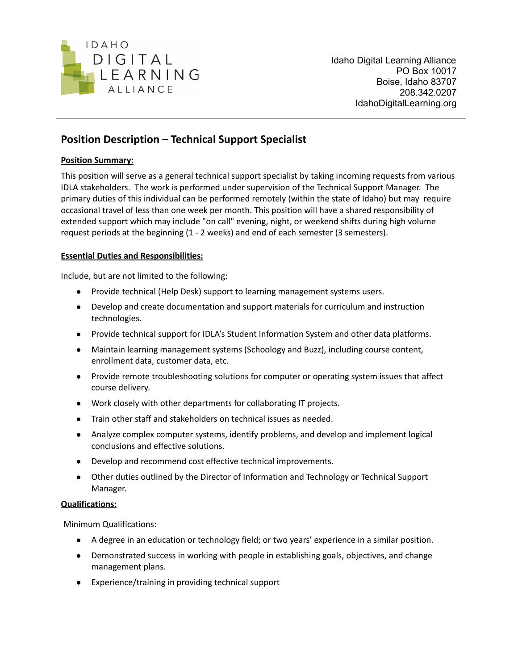

# **Position Description – Technical Support Specialist**

## **Position Summary:**

This position will serve as a general technical support specialist by taking incoming requests from various IDLA stakeholders. The work is performed under supervision of the Technical Support Manager. The primary duties of this individual can be performed remotely (within the state of Idaho) but may require occasional travel of less than one week per month. This position will have a shared responsibility of extended support which may include "on call" evening, night, or weekend shifts during high volume request periods at the beginning (1 - 2 weeks) and end of each semester (3 semesters).

## **Essential Duties and Responsibilities:**

Include, but are not limited to the following:

- Provide technical (Help Desk) support to learning management systems users.
- Develop and create documentation and support materials for curriculum and instruction technologies.
- Provide technical support for IDLA's Student Information System and other data platforms.
- Maintain learning management systems (Schoology and Buzz), including course content, enrollment data, customer data, etc.
- Provide remote troubleshooting solutions for computer or operating system issues that affect course delivery.
- Work closely with other departments for collaborating IT projects.
- Train other staff and stakeholders on technical issues as needed.
- Analyze complex computer systems, identify problems, and develop and implement logical conclusions and effective solutions.
- Develop and recommend cost effective technical improvements.
- Other duties outlined by the Director of Information and Technology or Technical Support Manager.

## **Qualifications:**

Minimum Qualifications:

- A degree in an education or technology field; or two years' experience in a similar position.
- Demonstrated success in working with people in establishing goals, objectives, and change management plans.
- Experience/training in providing technical support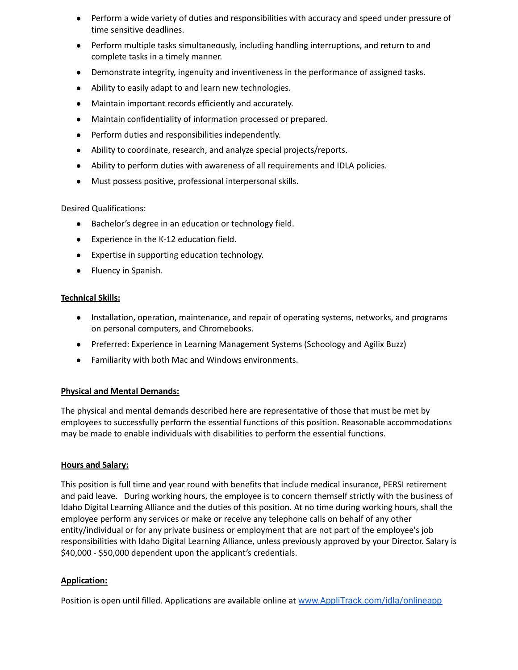- Perform a wide variety of duties and responsibilities with accuracy and speed under pressure of time sensitive deadlines.
- Perform multiple tasks simultaneously, including handling interruptions, and return to and complete tasks in a timely manner.
- Demonstrate integrity, ingenuity and inventiveness in the performance of assigned tasks.
- Ability to easily adapt to and learn new technologies.
- Maintain important records efficiently and accurately.
- Maintain confidentiality of information processed or prepared.
- Perform duties and responsibilities independently.
- Ability to coordinate, research, and analyze special projects/reports.
- Ability to perform duties with awareness of all requirements and IDLA policies.
- Must possess positive, professional interpersonal skills.

Desired Qualifications:

- Bachelor's degree in an education or technology field.
- Experience in the K-12 education field.
- Expertise in supporting education technology.
- Fluency in Spanish.

### **Technical Skills:**

- Installation, operation, maintenance, and repair of operating systems, networks, and programs on personal computers, and Chromebooks.
- Preferred: Experience in Learning Management Systems (Schoology and Agilix Buzz)
- Familiarity with both Mac and Windows environments.

## **Physical and Mental Demands:**

The physical and mental demands described here are representative of those that must be met by employees to successfully perform the essential functions of this position. Reasonable accommodations may be made to enable individuals with disabilities to perform the essential functions.

#### **Hours and Salary:**

This position is full time and year round with benefits that include medical insurance, PERSI retirement and paid leave. During working hours, the employee is to concern themself strictly with the business of Idaho Digital Learning Alliance and the duties of this position. At no time during working hours, shall the employee perform any services or make or receive any telephone calls on behalf of any other entity/individual or for any private business or employment that are not part of the employee's job responsibilities with Idaho Digital Learning Alliance, unless previously approved by your Director. Salary is \$40,000 - \$50,000 dependent upon the applicant's credentials.

## **Application:**

Position is open until filled. Applications are available online at www.AppliTrack.com/idla/onlineapp